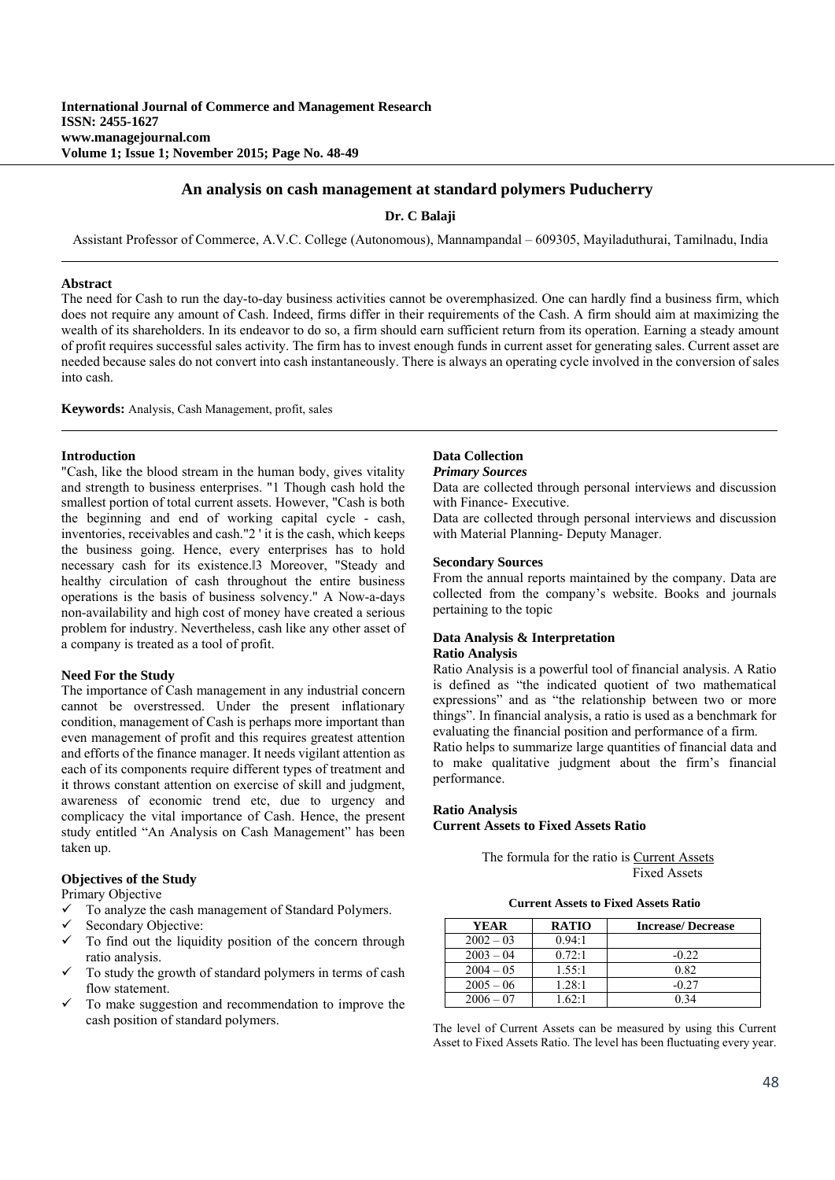# **An analysis on cash management at standard polymers Puducherry**

**Dr. C Balaji** 

Assistant Professor of Commerce, A.V.C. College (Autonomous), Mannampandal – 609305, Mayiladuthurai, Tamilnadu, India

# **Abstract**

The need for Cash to run the day-to-day business activities cannot be overemphasized. One can hardly find a business firm, which does not require any amount of Cash. Indeed, firms differ in their requirements of the Cash. A firm should aim at maximizing the wealth of its shareholders. In its endeavor to do so, a firm should earn sufficient return from its operation. Earning a steady amount of profit requires successful sales activity. The firm has to invest enough funds in current asset for generating sales. Current asset are needed because sales do not convert into cash instantaneously. There is always an operating cycle involved in the conversion of sales into cash.

**Keywords:** Analysis, Cash Management, profit, sales

# **Introduction**

"Cash, like the blood stream in the human body, gives vitality and strength to business enterprises. "1 Though cash hold the smallest portion of total current assets. However, "Cash is both the beginning and end of working capital cycle - cash, inventories, receivables and cash."2 ' it is the cash, which keeps the business going. Hence, every enterprises has to hold necessary cash for its existence.<sup>[3</sup> Moreover, "Steady and healthy circulation of cash throughout the entire business operations is the basis of business solvency." A Now-a-days non-availability and high cost of money have created a serious problem for industry. Nevertheless, cash like any other asset of a company is treated as a tool of profit.

# **Need For the Study**

The importance of Cash management in any industrial concern cannot be overstressed. Under the present inflationary condition, management of Cash is perhaps more important than even management of profit and this requires greatest attention and efforts of the finance manager. It needs vigilant attention as each of its components require different types of treatment and it throws constant attention on exercise of skill and judgment, awareness of economic trend etc, due to urgency and complicacy the vital importance of Cash. Hence, the present study entitled "An Analysis on Cash Management" has been taken up.

# **Objectives of the Study**

Primary Objective

- $\checkmark$  To analyze the cash management of Standard Polymers.
- Secondary Objective:
- To find out the liquidity position of the concern through ratio analysis.
- To study the growth of standard polymers in terms of cash flow statement.
- To make suggestion and recommendation to improve the cash position of standard polymers.

# **Data Collection**

*Primary Sources* 

Data are collected through personal interviews and discussion with Finance- Executive.

Data are collected through personal interviews and discussion with Material Planning- Deputy Manager.

#### **Secondary Sources**

From the annual reports maintained by the company. Data are collected from the company's website. Books and journals pertaining to the topic

# **Data Analysis & Interpretation Ratio Analysis**

Ratio Analysis is a powerful tool of financial analysis. A Ratio is defined as "the indicated quotient of two mathematical expressions" and as "the relationship between two or more things". In financial analysis, a ratio is used as a benchmark for evaluating the financial position and performance of a firm. Ratio helps to summarize large quantities of financial data and to make qualitative judgment about the firm's financial performance.

#### **Ratio Analysis Current Assets to Fixed Assets Ratio**

 The formula for the ratio is Current Assets Fixed Assets

**Current Assets to Fixed Assets Ratio** 

| <b>YEAR</b> | <b>RATIO</b> | <b>Increase/Decrease</b> |
|-------------|--------------|--------------------------|
| $2002 - 03$ | 0.94:1       |                          |
| $2003 - 04$ | 0.72:1       | $-0.22$                  |
| $2004 - 05$ | 1.55:1       | 0.82                     |
| $2005 - 06$ | 1.28:1       | -0.27                    |
| $2006 - 07$ | 162:1        | ገ 34                     |

The level of Current Assets can be measured by using this Current Asset to Fixed Assets Ratio. The level has been fluctuating every year.